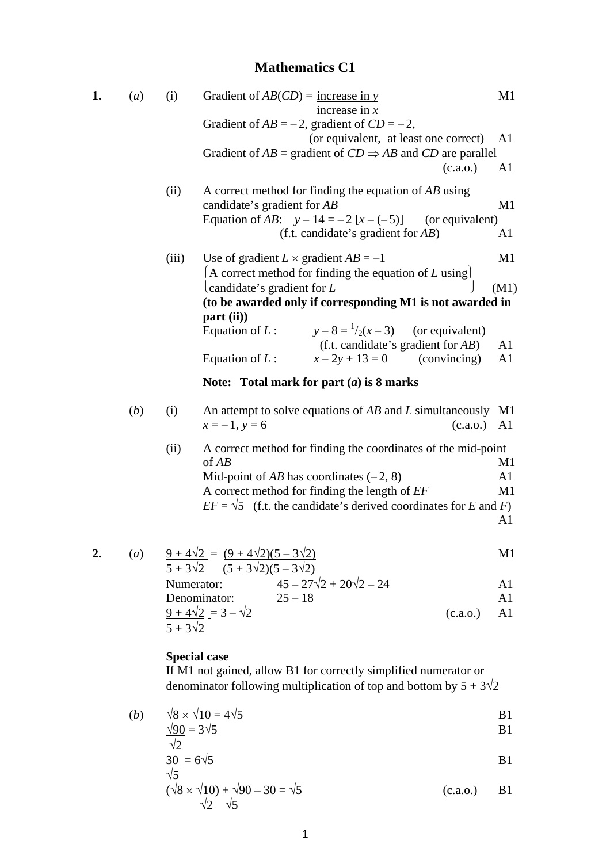# **Mathematics C1**

| 1. | (a)              | (i)                                                                       | Gradient of $AB(CD)$ = <u>increase in y</u><br>increase in $x$                                                     | M1                   |  |  |  |
|----|------------------|---------------------------------------------------------------------------|--------------------------------------------------------------------------------------------------------------------|----------------------|--|--|--|
|    |                  |                                                                           | Gradient of $AB = -2$ , gradient of $CD = -2$ ,                                                                    |                      |  |  |  |
|    |                  |                                                                           | (or equivalent, at least one correct)                                                                              | A1                   |  |  |  |
|    |                  |                                                                           | Gradient of $AB$ = gradient of $CD \Rightarrow AB$ and $CD$ are parallel<br>(c.a.0.)                               | A1                   |  |  |  |
|    |                  | (ii)                                                                      | A correct method for finding the equation of $AB$ using<br>candidate's gradient for AB                             | M1                   |  |  |  |
|    |                  |                                                                           | Equation of AB: $y - 14 = -2[x - (-5)]$<br>(or equivalent)<br>(f.t. candidate's gradient for $AB$ )                | A <sub>1</sub>       |  |  |  |
|    |                  | (iii)                                                                     | Use of gradient $L \times$ gradient $AB = -1$<br>A correct method for finding the equation of L using              | M1                   |  |  |  |
|    |                  |                                                                           | candidate's gradient for $L$                                                                                       | (M1)                 |  |  |  |
|    |                  |                                                                           | (to be awarded only if corresponding M1 is not awarded in                                                          |                      |  |  |  |
|    |                  |                                                                           | part (ii)                                                                                                          |                      |  |  |  |
|    |                  |                                                                           | Equation of L: $y-8 = \frac{1}{2}(x-3)$ (or equivalent)<br>(f.t. candidate's gradient for $AB$ )                   | A1                   |  |  |  |
|    |                  |                                                                           | Equation of $L$ :<br>$x-2y+13=0$<br>(convincing)                                                                   | A1                   |  |  |  |
|    |                  |                                                                           | Note: Total mark for part $(a)$ is 8 marks                                                                         |                      |  |  |  |
|    | (b)              | (i)                                                                       | An attempt to solve equations of $AB$ and $L$ simultaneously M1<br>$x = -1$ , $y = 6$<br>(c.a.o.)                  | A1                   |  |  |  |
|    |                  | (ii)                                                                      | A correct method for finding the coordinates of the mid-point<br>of $AB$                                           | M1                   |  |  |  |
|    |                  |                                                                           | Mid-point of AB has coordinates $(-2, 8)$                                                                          | A1                   |  |  |  |
|    |                  |                                                                           | A correct method for finding the length of EF                                                                      | M <sub>1</sub>       |  |  |  |
|    |                  |                                                                           | $EF = \sqrt{5}$ (f.t. the candidate's derived coordinates for E and F)                                             |                      |  |  |  |
|    |                  |                                                                           |                                                                                                                    | A <sub>1</sub>       |  |  |  |
| 2. | $\left(a\right)$ |                                                                           | $\frac{9+4\sqrt{2}}{9} = \frac{(9+4\sqrt{2})(5-3\sqrt{2})}{9}$<br>$5 + 3\sqrt{2}$ $(5 + 3\sqrt{2})(5 - 3\sqrt{2})$ | M1                   |  |  |  |
|    |                  | $45 - 27\sqrt{2} + 20\sqrt{2} - 24$<br>Numerator:<br>A1                   |                                                                                                                    |                      |  |  |  |
|    |                  |                                                                           | Denominator:<br>$25 - 18$                                                                                          | A1                   |  |  |  |
|    |                  |                                                                           | $\frac{9+4\sqrt{2}}{3} = 3 - \sqrt{2}$<br>(c.a.o.)                                                                 | A1                   |  |  |  |
|    |                  | $5 + 3\sqrt{2}$                                                           |                                                                                                                    |                      |  |  |  |
|    |                  |                                                                           | <b>Special case</b><br>If M1 not gained, allow B1 for correctly simplified numerator or                            |                      |  |  |  |
|    |                  | denominator following multiplication of top and bottom by $5 + 3\sqrt{2}$ |                                                                                                                    |                      |  |  |  |
|    | ( <i>b</i> )     | $\sqrt{90}$ = 3 $\sqrt{5}$                                                | $\sqrt{8} \times \sqrt{10} = 4\sqrt{5}$                                                                            | B <sub>1</sub><br>B1 |  |  |  |
|    |                  |                                                                           |                                                                                                                    |                      |  |  |  |

$$
\frac{\sqrt{2}}{\sqrt{5}} = 6\sqrt{5}
$$
 B1

$$
(\sqrt{8} \times \sqrt{10}) + \frac{\sqrt{90}}{\sqrt{5}} - \frac{30}{\sqrt{5}} = \sqrt{5}
$$
 (c.a.o.) B1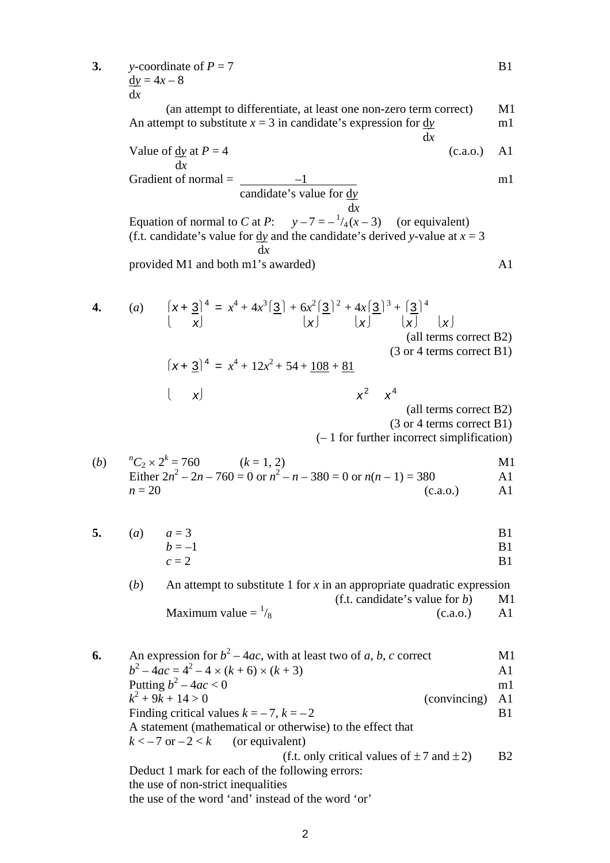3. y-coordinate of 
$$
P = 7
$$
  
\n
$$
\frac{dy}{dx} = 4x - 8
$$

(an attempt to differentiate, at least one non-zero term correct) M1 An attempt to substitute  $x = 3$  in candidate's expression for  $\frac{dy}{dx}$  m1 d*x*

Value of 
$$
\underline{dy}
$$
 at  $P = 4$  (c.a.o.) A1

 d*x* Gradient of normal = –1 m1 candidate's value for d*y* d*x*

Equation of normal to *C* at *P*:  $y-7 = -\frac{1}{4}(x-3)$  (or equivalent) (f.t. candidate's value for dy and the candidate's derived *y*-value at  $x = 3$ ) d*x* provided M1 and both m1's awarded) A1

4. (a) 
$$
\left[\begin{array}{c} (x + \frac{3}{2})^4 = x^4 + 4x^3[\frac{3}{2}] + 6x^2[\frac{3}{2}]^2 + 4x[\frac{3}{2}]^3 + \left[\frac{3}{2}\right]^4 \\ \left[\begin{array}{c} (x + \frac{3}{2})^4 = x^4 + 12x^2 + 54 + \frac{108}{2} + \frac{81}{24} \end{array}\right] \right. \qquad (3 \text{ or } 4 \text{ terms correct B1})
$$
  
\n[ $x = \frac{1}{2} \left.\begin{array}{c} (3 \text{ or } 4 \text{ terms correct B1}) \\ \left[\begin{array}{c} (x + \frac{3}{2})^4 = x^4 + 12x^2 + 54 + \frac{108}{2} + \frac{81}{24} \\ \left[\begin{array}{c} (x + \frac{3}{2})^4 = x^4 \\ \left[\begin{array}{c} (x + \frac{3}{2})^4 = x^4 \\ \left[\begin{array}{c} (x + \frac{3}{2})^4 = x^4 \\ \left[\begin{array}{c} (x + \frac{3}{2})^4 = x^4 \\ \left[\begin{array}{c} (x + \frac{3}{2})^4 = x^4 \\ \left[\begin{array}{c} (x + \frac{3}{2})^4 = x^4 \\ \left[\begin{array}{c} (x + \frac{3}{2})^4 = x^4 \\ \left[\begin{array}{c} (x + \frac{3}{2})^4 = x^4 \end{array}\right]\right] \right] \right. \end{array}\right] \end{array}\right.$ 

(3 or 4 terms correct B1)

(– 1 for further incorrect simplification)

(b) 
$$
{}^{n}C_{2} \times 2^{k} = 760
$$
 (k = 1, 2)  
\nEither  $2n^{2} - 2n - 760 = 0$  or  $n^{2} - n - 380 = 0$  or  $n(n - 1) = 380$   
\n $n = 20$  (c.a.o.)

5. (a) 
$$
a = 3
$$
  
\n $b = -1$   
\n $c = 2$   
\nB1  
\nB1  
\nB1  
\nB1

(*b*) An attempt to substitute 1 for *x* in an appropriate quadratic expression (f.t. candidate's value for *b*) M1 Maximum value  $=$   $\frac{1}{8}$  $(c.a.0.)$  A1

**6.** An expression for  $b^2 - 4ac$ , with at least two of *a*, *b*, *c* correct M1  $b^2 - 4ac = 4^2 - 4 \times (k+6) \times (k+3)$  A1 Putting  $b^2 - 4ac < 0$  m1 *k* 2 (convincing) A1 Finding critical values  $k = -7$ ,  $k = -2$  B1 A statement (mathematical or otherwise) to the effect that  $k < -7$  or  $-2 < k$  (or equivalent) (f.t. only critical values of  $\pm 7$  and  $\pm 2$ ) B2 Deduct 1 mark for each of the following errors: the use of non-strict inequalities the use of the word 'and' instead of the word 'or'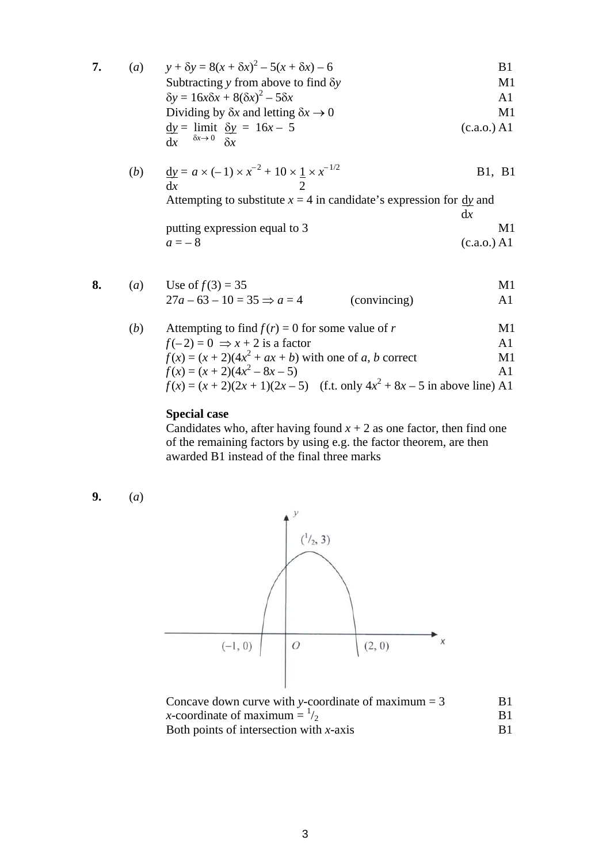7. (a) 
$$
y + \delta y = 8(x + \delta x)^2 - 5(x + \delta x) - 6
$$
  
\nSubtracting y from above to find  $\delta y$   
\n $\delta y = 16x\delta x + 8(\delta x)^2 - 5\delta x$   
\nDividing by  $\delta x$  and letting  $\delta x \rightarrow 0$   
\n $\frac{dy}{dx} = \lim_{\delta x \to 0} \frac{\delta y}{\delta x} = 16x - 5$   
\n $\frac{dy}{dx} = \lim_{\delta x \to 0} \frac{\delta y}{\delta x}$  (c.a.o.) A1

(b) 
$$
\frac{dy}{dx} = a \times (-1) \times x^{-2} + 10 \times \frac{1}{2} \times x^{-1/2}
$$
 B1, B1  
At  
Experting to substitute  $x = 4$  in candidate's expression for  $\frac{dy}{dx}$  and

 d*x* putting expression equal to 3 M1  $a = -8$  (c.a.o.) A1

8. (a) Use of 
$$
f(3) = 35
$$
  
\n $27a - 63 - 10 = 35 \Rightarrow a = 4$  (convincing)  
\n(A) Attempting to find  $f(r) = 0$  for some value of r  
\n $f(-2) = 0 \Rightarrow x + 2$  is a factor  
\n $f(x) = (x + 2)(4x^2 + ax + b)$  with one of a, b correct  
\n $f(x) = (x + 2)(4x^2 - 8x - 5)$   
\n $f(x) = (x + 2)(2x + 1)(2x - 5)$  (f.t. only  $4x^2 + 8x - 5$  in above line) A1

## **Special case**

Candidates who, after having found  $x + 2$  as one factor, then find one of the remaining factors by using e.g. the factor theorem, are then awarded B1 instead of the final three marks

**9.** (*a*)



| Concave down curve with y-coordinate of maximum $=$ 3 | B1. |
|-------------------------------------------------------|-----|
| x-coordinate of maximum $=$ $\frac{1}{2}$             |     |
| Both points of intersection with $x$ -axis            |     |